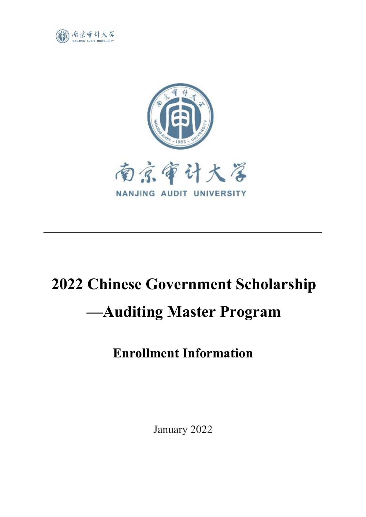



# **2022 Chinese Government Scholarship —Auditing Master Program**

# **Enrollment Information**

January 2022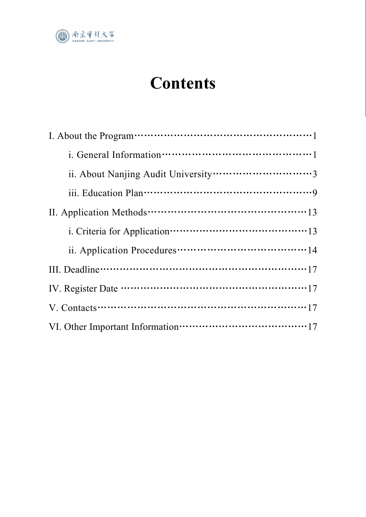

# **Contents**

| ii. Application Procedures………………………………………14 |
|---------------------------------------------|
|                                             |
|                                             |
|                                             |
|                                             |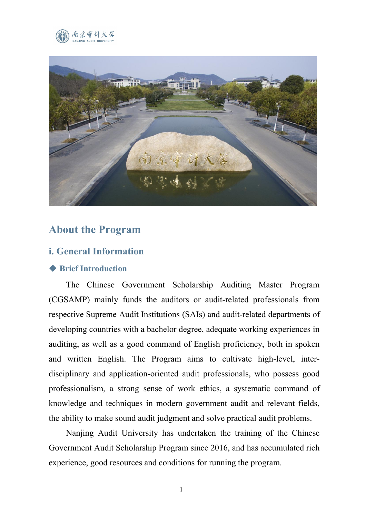



# **About the Program**

#### **i. General Information**

#### ◆ **Brief Introduction**

The Chinese Government Scholarship Auditing Master Program (CGSAMP) mainly funds the auditors or audit-related professionals from respective Supreme Audit Institutions (SAIs) and audit-related departments of developing countries with a bachelor degree, adequate working experiences in auditing, as well as a good command of English proficiency, both in spoken and written English. The Program aims to cultivate high-level, inter disciplinary and application-oriented audit professionals, who possess good professionalism, a strong sense of work ethics, a systematic command of knowledge and techniques in modern government audit and relevant fields, the ability to make sound audit judgment and solve practical audit problems.

Nanjing Audit University has undertaken the training of the Chinese Government Audit Scholarship Program since 2016, and has accumulated rich experience, good resources and conditions for running the program.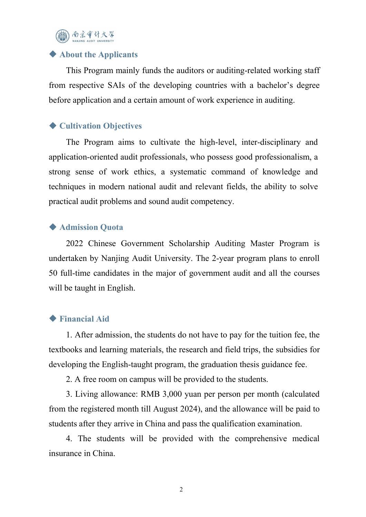自宗审计大学

#### ◆ **About the Applicants**

This Program mainly funds the auditors or auditing-related working staff from respective SAIs of the developing countries with a bachelor's degree before application and a certain amount of work experience in auditing.

#### ◆ **Cultivation Objectives**

The Program aims to cultivate the high-level, inter-disciplinary and application-oriented audit professionals, who possess good professionalism, a strong sense of work ethics, a systematic command of knowledge and techniques in modern national audit and relevant fields, the ability to solve practical audit problems and sound audit competency.

#### ◆ **Admission Quota**

2022 Chinese Government Scholarship Auditing Master Program is undertaken by Nanjing Audit University. The 2-year program plans to enroll 50 full-time candidates in the major of government audit and all the courses will be taught in English.

#### ◆ **Financial Aid**

1. After admission, the students do not have to pay for the tuition fee, the textbooks and learning materials, the research and field trips, the subsidies for developing the English-taught program, the graduation thesis guidance fee.

2. A free room on campus will be provided to the students.

3. Living allowance: RMB 3,000 yuan per person per month (calculated from the registered month till August 2024), and the allowance will be paid to students after they arrive in China and pass the qualification examination.

4. The students will be provided with the comprehensive medical insurance in China.

2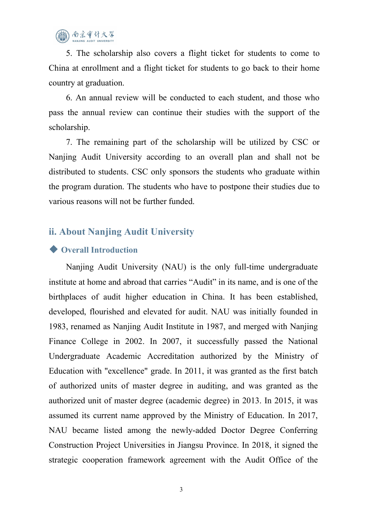5. The scholarship also covers a flight ticket for students to come to China at enrollment and a flight ticket for students to go back to their home country at graduation.

6. An annual review will be conducted to each student, and those who pass the annual review can continue their studies with the support of the scholarship.

7. The remaining part of the scholarship will be utilized by CSC or Nanjing Audit University according to an overall plan and shall not be distributed to students. CSC only sponsors the students who graduate within the program duration. The students who have to postpone their studies due to various reasons will not be further funded.

# **ii. About Nanjing Audit University**

#### ◆ **Overall Introduction**

Nanjing Audit University (NAU) is the only full-time undergraduate institute at home and abroad that carries "Audit" in its name, and is one of the birthplaces of audit higher education in China. It has been established, developed, flourished and elevated for audit. NAU was initially founded in 1983, renamed as Nanjing Audit Institute in 1987, and merged with Nanjing Finance College in 2002. In 2007, it successfully passed the National Undergraduate Academic Accreditation authorized by the Ministry of Education with "excellence" grade. In 2011, it was granted as the first batch of authorized units of master degree in auditing, and was granted as the authorized unit of master degree (academic degree) in 2013. In 2015, it was assumed its current name approved by the Ministry of Education. In 2017, NAU became listed among the newly-added Doctor Degree Conferring Construction Project Universities in Jiangsu Province. In 2018, it signed the strategic cooperation framework agreement with the Audit Office of the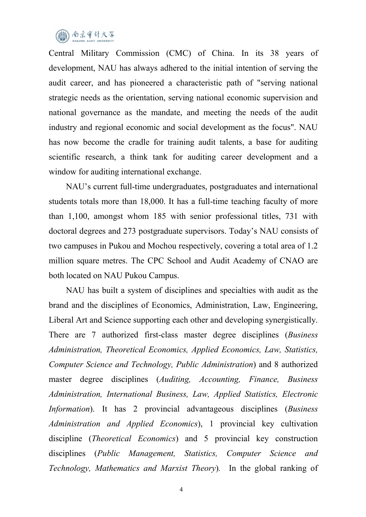

Central Military Commission (CMC) of China. In its 38 years of development, NAU has always adhered to the initial intention of serving the audit career, and has pioneered a characteristic path of "serving national strategic needs as the orientation, serving national economic supervision and national governance as the mandate, and meeting the needs of the audit industry and regional economic and social development as the focus". NAU has now become the cradle for training audit talents, a base for auditing scientific research, a think tank for auditing career development and a window for auditing international exchange.

NAU's current full-time undergraduates, postgraduates and international students totals more than 18,000. It has a full-time teaching faculty of more than 1,100, amongst whom 185 with senior professional titles, 731 with doctoral degrees and 273 postgraduate supervisors. Today's NAU consists of two campuses in Pukou and Mochou respectively, covering a total area of 1.2 million square metres. The CPC School and Audit Academy of CNAO are both located on NAU Pukou Campus.

NAU has built a system of disciplines and specialties with audit as the brand and the disciplines of Economics, Administration, Law, Engineering, Liberal Art and Science supporting each other and developing synergistically. There are 7 authorized first-class master degree disciplines (*Business Administration, Theoretical Economics, Applied Economics, Law, Statistics, Computer Science and Technology, Public Administration*) and 8 authorized master degree disciplines (*Auditing, Accounting, Finance, Business Administration, International Business, Law, Applied Statistics, Electronic Information*). It has 2 provincial advantageous disciplines (*Business Administration and Applied Economics*), 1 provincial key cultivation discipline (*Theoretical Economics*) and 5 provincial key construction disciplines (*Public Management, Statistics, Computer Science and Technology, Mathematics and Marxist Theory*)*.* In the global ranking of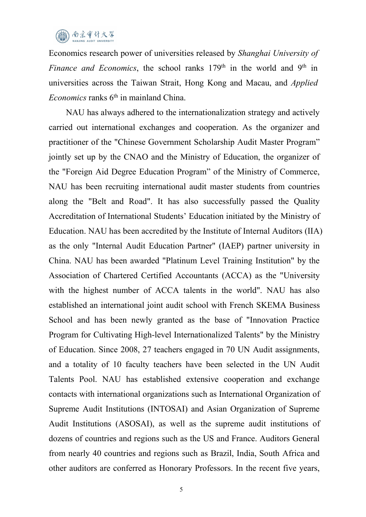

Economics research power of universities released by *Shanghai University of Finance and Economics*, the school ranks 179<sup>th</sup> in the world and 9<sup>th</sup> in in universities across the Taiwan Strait, Hong Kong and Macau, and *Applied Economics* ranks 6<sup>th</sup> in mainland China.

NAU has always adhered to the internationalization strategy and actively carried out international exchanges and cooperation. As the organizer and practitioner of the "Chinese Government Scholarship Audit Master Program" jointly set up by the CNAO and the Ministry of Education, the organizer of the "Foreign Aid Degree Education Program" of the Ministry of Commerce, NAU has been recruiting international audit master students from countries along the "Belt and Road". It has also successfully passed the Quality Accreditation of International Students' Education initiated by the Ministry of Education. NAU has been accredited by the Institute of Internal Auditors (IIA) as the only "Internal Audit Education Partner" (IAEP) partner university in China. NAU has been awarded "Platinum Level Training Institution" by the Association of Chartered Certified Accountants (ACCA) as the "University with the highest number of ACCA talents in the world". NAU has also established an international joint audit school with French SKEMA Business School and has been newly granted as the base of "Innovation Practice Program for Cultivating High-level Internationalized Talents" by the Ministry of Education. Since 2008, 27 teachers engaged in 70 UN Audit assignments, and a totality of 10 faculty teachers have been selected in the UN Audit Talents Pool. NAU has established extensive cooperation and exchange contacts with international organizations such as International Organization of Supreme Audit Institutions (INTOSAI) and Asian Organization of Supreme Audit Institutions (ASOSAI), as well as the supreme audit institutions of dozens of countries and regions such as the US and France. Auditors General from nearly 40 countries and regions such as Brazil, India, South Africa and other auditors are conferred as Honorary Professors.In the recent five years,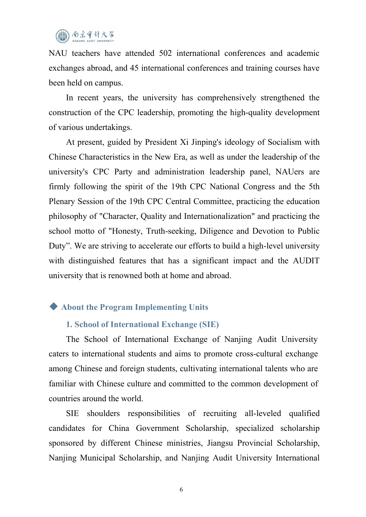NAU teachers have attended 502 international conferences and academic exchanges abroad, and 45 international conferences and training courses have been held on campus.<br>In recent years, the university has comprehensively strengthened the

construction of the CPC leadership, promoting the high-quality development of various undertakings.

At present, guided by President Xi Jinping's ideology of Socialism with Chinese Characteristics in the New Era, as well as under the leadership of the university's CPC Party and administration leadership panel, NAUers are firmly following the spirit of the 19th CPC National Congress and the 5th Plenary Session of the 19th CPC Central Committee, practicing the education philosophy of "Character, Quality and Internationalization" and practicing the school motto of "Honesty, Truth-seeking, Diligence and Devotion to Public Duty". We are striving to accelerate our efforts to build a high-level university with distinguished features that has a significant impact and the AUDIT university that is renowned both at home and abroad.

## ◆ **About the Program Implementing Units**

#### **1. School of International Exchange (SIE)**

The School of International Exchange of Nanjing Audit University caters to international students and aims to promote cross-cultural exchange among Chinese and foreign students, cultivating international talents who are familiar with Chinese culture and committed to the common development of countries around the world.

SIE shoulders responsibilities of recruiting all-leveled qualified candidates for China Government Scholarship, specialized scholarship sponsored by different Chinese ministries, Jiangsu Provincial Scholarship, Nanjing Municipal Scholarship, and Nanjing Audit University International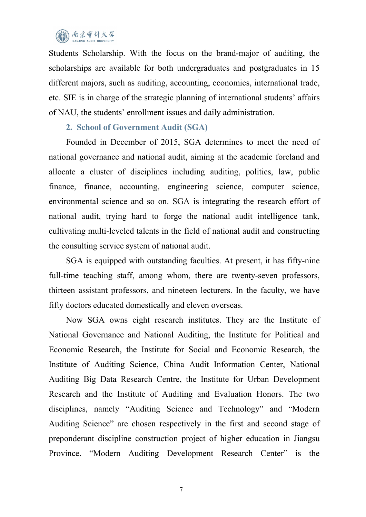# ) 南京审计大召

Students Scholarship. With the focus on the brand-major of auditing, the scholarships are available for both undergraduates and postgraduates in 15 different majors, such as auditing, accounting, economics, international trade, etc. SIE is in charge of the strategic planning of international students' affairs of NAU, the students' enrollment issues and daily administration.

#### **2. School of Government Audit (SGA)**

Founded in December of 2015, SGA determines to meet the need of national governance and national audit, aiming at the academic foreland and allocate a cluster of disciplines including auditing, politics, law, public finance, finance, accounting, engineering science, computer science, environmental science and so on. SGA is integrating the research effort of national audit, trying hard to forge the national audit intelligence tank, cultivating multi-leveled talents in the field of national audit and constructing the consulting service system of national audit.

SGA is equipped with outstanding faculties. At present, it has fifty-nine full-time teaching staff, among whom, there are twenty-seven professors, thirteen assistant professors, and nineteen lecturers. In the faculty, we have fifty doctors educated domestically and eleven overseas.

Now SGA owns eight research institutes. They are the Institute of National Governance and National Auditing, the Institute for Political and Economic Research, the Institute for Social and Economic Research, the Institute of Auditing Science, China Audit Information Center, National Auditing Big Data Research Centre, the Institute for Urban Development Research and the Institute of Auditing and Evaluation Honors. The two disciplines, namely "Auditing Science and Technology" and "Modern Auditing Science" are chosen respectively in the first and second stage of preponderant discipline construction project of higher education in Jiangsu Province. "Modern Auditing Development Research Center" is the

7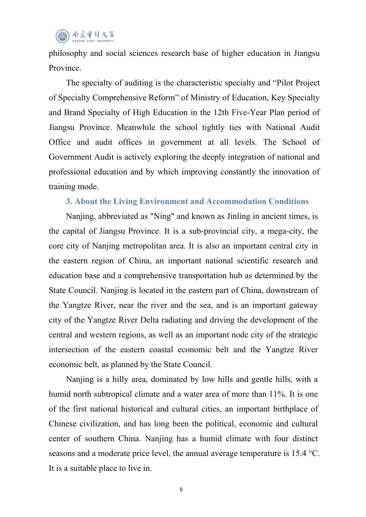# (面) 南京审计大学

philosophy and social sciences research base of higher education in Jiangsu Province.

The specialty of auditing is the characteristic specialty and "Pilot Project of Specialty Comprehensive Reform" of Ministry of Education, Key Specialty and Brand Specialty of High Education in the 12th Five-Year Plan period of Jiangsu Province. Meanwhile the school tightly ties with National Audit Office and audit offices in government at all levels. The School of Government Audit is actively exploring the deeply integration of national and professional education and by which improving constantly the innovation of training mode.

#### **3. About the Living Environment and Accommodation Conditions**

Nanjing, abbreviated as "Ning" and known as Jinling in ancient times, is the capital of Jiangsu Province. It is a sub-provincial city, a mega-city, the core city of Nanjing metropolitan area. It is also an important central city in the eastern region of China, an important national scientific research and education base and a comprehensive transportation hub as determined by the State Council. Nanjing is located in the eastern part of China, downstream of the Yangtze River, near the river and the sea, and is an important gateway city of the Yangtze River Delta radiating and driving the development of the central and western regions, as well as an important node city of the strategic intersection of the eastern coastal economic belt and the Yangtze River economic belt, as planned by the State Council.

Nanjing is a hilly area, dominated by low hills and gentle hills, with a humid north subtropical climate and a water area of more than 11%. It is one of the first national historical and cultural cities, an important birthplace of Chinese civilization, and has long been the political, economic and cultural center of southern China. Nanjing has a humid climate with four distinct seasons and a moderate price level, the annual average temperature is 15.4 °C. It is a suitable place to live in.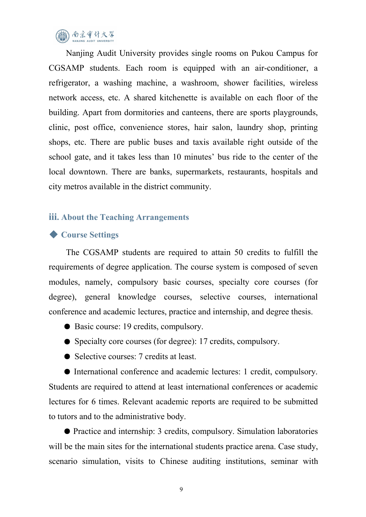

Nanjing Audit University provides single rooms on Pukou Campus for CGSAMP students. Each room is equipped with an air-conditioner, a refrigerator, a washing machine, a washroom, shower facilities, wireless network access, etc. A shared kitchenette is available on each floor of the building. Apart from dormitories and canteens, there are sports playgrounds, clinic, post office, convenience stores, hair salon, laundry shop, printing shops, etc. There are public buses and taxis available right outside of the school gate, and it takes less than 10 minutes' bus ride to the center of the local downtown. There are banks, supermarkets, restaurants, hospitals and city metros available in the district community.

#### **iii. About the Teaching Arrangements**

#### ◆ **Course Settings**

The CGSAMP students are required to attain 50 credits to fulfill the requirements of degree application. The course system is composed of seven modules, namely, compulsory basic courses, specialty core courses (for degree), general knowledge courses, selective courses, international conference and academic lectures, practice and internship, and degree thesis.

- Basic course: 19 credits, compulsory.
- Specialty core courses (for degree): 17 credits, compulsory.
- Selective courses: 7 credits at least.

● International conference and academic lectures: 1 credit, compulsory. Students are required to attend at least international conferences or academic lectures for 6 times. Relevant academic reports are required to be submitted to tutors and to the administrative body.

● Practice and internship: 3 credits, compulsory. Simulation laboratories will be the main sites for the international students practice arena. Case study, scenario simulation, visits to Chinese auditing institutions, seminar with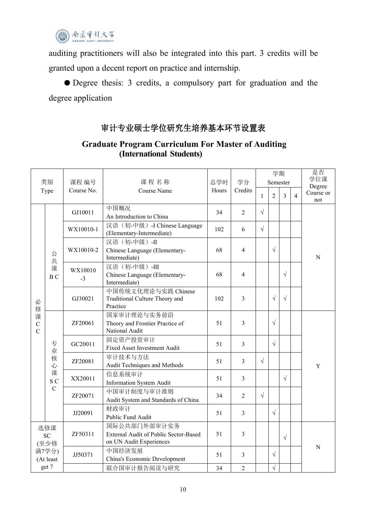

auditing practitioners will also be integrated into this part. 3 credits will be granted upon a decent report on practice and internship.

● Degree thesis: 3 credits, a compulsory part for graduation and the degree application

## 审计专业硕士学位研究生培养基本环节设置表

| 类别<br>Type                                       |                                             | 课程 编号           | 课程名称<br>Course Name                                                              | 总学时<br>Hours | 学分<br>Credits  | 学期<br>Semester |            |            |                | 是否<br>学位课                  |
|--------------------------------------------------|---------------------------------------------|-----------------|----------------------------------------------------------------------------------|--------------|----------------|----------------|------------|------------|----------------|----------------------------|
|                                                  |                                             | Course No.      |                                                                                  |              |                | $\mathbf{1}$   | 2          | 3          | $\overline{4}$ | Degree<br>Course or<br>not |
| 必<br>修<br>课<br>$\mathsf C$<br>$\overline{C}$     |                                             | GJ10011         | 中国概况<br>An Introduction to China                                                 | 34           | $\overline{2}$ | $\sqrt{ }$     |            |            |                | $\mathbf N$                |
|                                                  |                                             | WX10010-1       | 汉语(初-中级)-I Chinese Language<br>(Elementary-Intermediate)                         | 102          | 6              | $\sqrt{ }$     |            |            |                |                            |
|                                                  | 公<br>共                                      | WX10010-2       | 汉语(初-中级)-II<br>Chinese Language (Elementary-<br>Intermediate)                    | 68           | $\overline{4}$ |                | $\sqrt{ }$ |            |                |                            |
|                                                  | 课<br>B C                                    | WX10010<br>$-3$ | 汉语(初-中级)-III<br>Chinese Language (Elementary-<br>Intermediate)                   | 68           | $\overline{4}$ |                |            | $\sqrt{ }$ |                |                            |
|                                                  |                                             | GJ30021         | 中国传统文化理论与实践 Chinese<br>Traditional Culture Theory and<br>Practice                | 102          | $\mathfrak{Z}$ |                | $\sqrt{ }$ | $\sqrt{2}$ |                |                            |
|                                                  | 专<br>业<br>核<br>心<br>课<br>S C<br>$\mathbf C$ | ZF20061         | 国家审计理论与实务前沿<br>Theory and Frontier Practice of<br>National Audit                 | 51           | $\overline{3}$ |                | $\sqrt{ }$ |            |                | $\mathbf Y$                |
|                                                  |                                             | GC20011         | 固定资产投资审计<br>Fixed Asset Investment Audit                                         | 51           | $\overline{3}$ |                | $\sqrt{ }$ |            |                |                            |
|                                                  |                                             | ZF20081         | 审计技术与方法<br>Audit Techniques and Methods                                          | 51           | $\mathfrak{Z}$ | $\sqrt{ }$     |            |            |                |                            |
|                                                  |                                             | XX20011         | 信息系统审计<br><b>Information System Audit</b>                                        | 51           | $\overline{3}$ |                |            | $\sqrt{ }$ |                |                            |
|                                                  |                                             | ZF20071         | 中国审计制度与审计准则<br>Audit System and Standards of China                               | 34           | $\overline{2}$ | $\sqrt{ }$     |            |            |                |                            |
|                                                  |                                             | JJ20091         | 财政审计<br>Public Fund Audit                                                        | 51           | $\mathfrak{Z}$ |                | $\sqrt{ }$ |            |                |                            |
| 选修课<br>SC<br>(至少修<br>满7学分)<br>(At least<br>get 7 |                                             | ZF50311         | 国际公共部门外部审计实务<br>External Audit of Public Sector-Based<br>on UN Audit Experiences | 51           | $\mathfrak{Z}$ |                |            | $\sqrt{ }$ |                |                            |
|                                                  |                                             | JJ50371         | 中国经济发展<br>China's Economic Development                                           | 51           | $\overline{3}$ |                | $\sqrt{ }$ |            |                | ${\bf N}$                  |
|                                                  |                                             |                 | 联合国审计报告阅读与研究                                                                     | 34           | $\overline{2}$ |                | $\sqrt{ }$ |            |                |                            |

### **Graduate Program Curriculum For Master of Auditing (International Students)**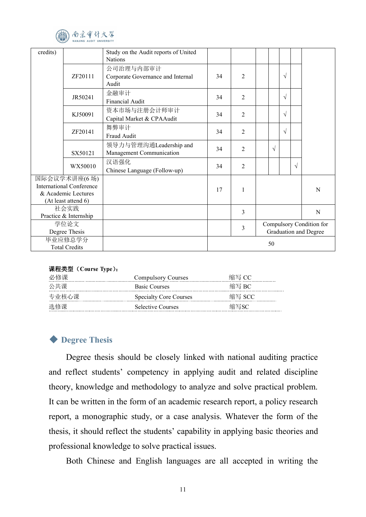

| credits)                                   |              | Study on the Audit reports of United<br><b>Nations</b> |    |                       |  |            |                          |           |   |  |  |
|--------------------------------------------|--------------|--------------------------------------------------------|----|-----------------------|--|------------|--------------------------|-----------|---|--|--|
|                                            |              | 公司治理与内部审计                                              |    |                       |  |            |                          |           |   |  |  |
|                                            | ZF20111      | Corporate Governance and Internal                      | 34 | $\overline{2}$        |  |            | $\sqrt{}$                |           |   |  |  |
|                                            |              | Audit                                                  |    |                       |  |            |                          |           |   |  |  |
|                                            | JR50241      | 金融审计                                                   | 34 | $\overline{2}$        |  |            | $\sqrt{ }$               |           |   |  |  |
|                                            |              | <b>Financial Audit</b>                                 |    |                       |  |            |                          |           |   |  |  |
|                                            | KJ50091      | 资本市场与注册会计师审计                                           | 34 | $\overline{2}$        |  |            | $\sqrt{ }$               |           |   |  |  |
|                                            |              | Capital Market & CPAAudit                              |    |                       |  |            |                          |           |   |  |  |
|                                            | ZF20141      | 舞弊审计                                                   | 34 | $\overline{2}$        |  |            | $\sqrt{ }$               |           |   |  |  |
|                                            |              | Fraud Audit                                            |    |                       |  |            |                          |           |   |  |  |
|                                            |              | 领导力与管理沟通Leadership and                                 | 34 | $\overline{2}$        |  | $\sqrt{ }$ |                          |           |   |  |  |
|                                            | SX50121      | Management Communication                               |    |                       |  |            |                          |           |   |  |  |
|                                            | WX50010      | 汉语强化                                                   | 34 | $\overline{2}$        |  |            |                          | $\sqrt{}$ |   |  |  |
|                                            |              | Chinese Language (Follow-up)                           |    |                       |  |            |                          |           |   |  |  |
|                                            | 国际会议学术讲座(6场) |                                                        |    |                       |  |            |                          |           |   |  |  |
| <b>International Conference</b>            |              |                                                        | 17 | $\mathbf{1}$          |  |            |                          |           | N |  |  |
| & Academic Lectures<br>(At least attend 6) |              |                                                        |    |                       |  |            |                          |           |   |  |  |
| 社会实践                                       |              |                                                        |    |                       |  |            |                          |           |   |  |  |
| Practice & Internship                      |              |                                                        |    | 3                     |  |            |                          |           | N |  |  |
| 学位论文                                       |              |                                                        |    | $\overline{3}$        |  |            | Compulsory Condition for |           |   |  |  |
| Degree Thesis                              |              |                                                        |    | Graduation and Degree |  |            |                          |           |   |  |  |
| 毕业应修总学分                                    |              |                                                        | 50 |                       |  |            |                          |           |   |  |  |
| <b>Total Credits</b>                       |              |                                                        |    |                       |  |            |                          |           |   |  |  |

#### 课程类型(**Course Type**):

| 必修课   | <b>Compulsory Courses</b>     | 缩写 CC  |
|-------|-------------------------------|--------|
| 公共课   | <b>Basic Courses</b>          | 缩写 BC  |
| 专业核心课 | <b>Specialty Core Courses</b> | 缩写 SCC |
| 选修课   | Selective Courses             | 缩写SC   |

#### ◆ **Degree Thesis**

Degree thesis should be closely linked with national auditing practice and reflect students' competency in applying audit and related discipline theory, knowledge and methodology to analyze and solve practical problem. It can be written in the form of an academic research report, a policy research report, a monographic study, or a case analysis. Whatever the form of the thesis, it should reflect the students' capability in applying basic theories and professional knowledge to solve practical issues.

Both Chinese and English languages are all accepted in writing the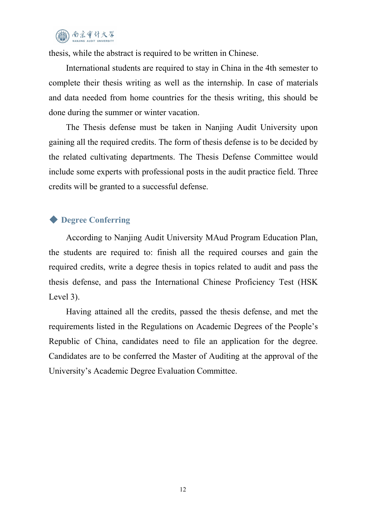

thesis, while the abstract is required to be written in Chinese.

International students are required to stay in China in the 4th semester to complete their thesis writing as well as the internship. In case of materials and data needed from home countries for the thesis writing, this should be done during the summer or winter vacation.

The Thesis defense must be taken in Nanjing Audit University upon gaining all the required credits. The form of thesis defense is to be decided by the related cultivating departments. The Thesis Defense Committee would include some experts with professional posts in the audit practice field. Three credits will be granted to a successful defense.

#### ◆ **Degree Conferring**

According to Nanjing Audit University MAud Program Education Plan, the students are required to: finish all the required courses and gain the required credits, write a degree thesis in topics related to audit and pass the thesis defense, and pass the International Chinese Proficiency Test (HSK Level 3).

Having attained all the credits, passed the thesis defense, and met the requirements listed in the Regulations on Academic Degrees of the People's Republic of China, candidates need to file an application for the degree. Candidates are to be conferred the Master of Auditing at the approval of the University's Academic Degree Evaluation Committee.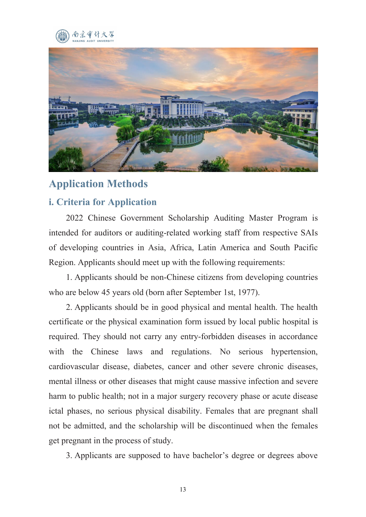



# **Application Methods**

# **i. Criteria for Application**

2022 Chinese Government Scholarship Auditing Master Program is intended for auditors or auditing-related working staff from respective SAIs of developing countries in Asia, Africa, Latin America and South Pacific Region. Applicants should meet up with the following requirements:

1. Applicants should be non-Chinese citizens from developing countries who are below 45 years old (born after September 1st, 1977).

2. Applicants should be in good physical and mental health. The health certificate or the physical examination form issued by local public hospital is required. They should not carry any entry-forbidden diseases in accordance with the Chinese laws and regulations. No serious hypertension, cardiovascular disease, diabetes, cancer and other severe chronic diseases, mental illness or other diseases that might cause massive infection and severe harm to public health; not in a major surgery recovery phase or acute disease ictal phases, no serious physical disability. Females that are pregnant shall not be admitted, and the scholarship will be discontinued when the females get pregnant in the process of study.

3. Applicants are supposed to have bachelor's degree or degrees above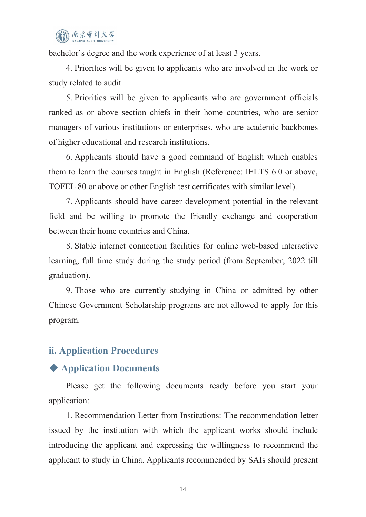bachelor's degree and the work experience of at least 3 years.

4. Priorities will be given to applicants who are involved in the work or study related to audit.

5. Priorities will be given to applicants who are government officials ranked as or above section chiefs in their home countries, who are senior managers of various institutions or enterprises, who are academic backbones of higher educational and research institutions.

6. Applicants should have a good command of English which enables them to learn the courses taught in English (Reference: IELTS 6.0 or above, TOFEL 80 or above or other English test certificates with similar level).

7. Applicants should have career development potential in the relevant field and be willing to promote the friendly exchange and cooperation between their home countries and China.

8. Stable internet connection facilities for online web-based interactive learning, full time study during the study period (from September, 2022 till graduation).

9. Those who are currently studying in China or admitted by other Chinese Government Scholarship programs are not allowed to apply for this program.

## **ii. Application Procedures**

## ◆ **Application Documents**

Please get the following documents ready before you start your application:

1. Recommendation Letter from Institutions: The recommendation letter issued by the institution with which the applicant works should include introducing the applicant and expressing the willingness to recommend the applicant to study in China. Applicants recommended by SAIs should present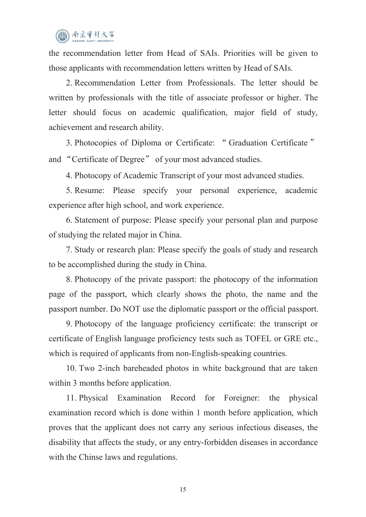# 南京审计大学

the recommendation letter from Head of SAIs. Priorities will be given to those applicants with recommendation letters written by Head of SAIs.

2. Recommendation Letter from Professionals. The letter should be written by professionals with the title of associate professor or higher. The letter should focus on academic qualification, major field of study, achievement and research ability.

3. Photocopies of Diploma or Certificate: " Graduation Certificate " and "Certificate of Degree" of your most advanced studies.

4. Photocopy of Academic Transcript of your most advanced studies.

5. Resume: Please specify your personal experience, academic experience after high school, and work experience.<br>6. Statement of purpose: Please specify your personal plan and purpose

of studying the related major in China.

7. Study or research plan: Please specify the goals of study and research to be accomplished during the study in China.

8. Photocopy of the private passport: the photocopy of the information page of the passport, which clearly shows the photo, the name and the passport number. Do NOT use the diplomatic passport or the official passport.

9. Photocopy of the language proficiency certificate: the transcript or certificate of English language proficiency tests such as TOFEL or GRE etc., which is required of applicants from non-English-speaking countries.

10. Two 2-inch bareheaded photos in white background that are taken within 3 months before application.

11. Physical Examination Record for Foreigner: the physical examination record which is done within 1 month before application, which proves that the applicant does not carry any serious infectious diseases, the disability that affects the study, or any entry-forbidden diseases in accordance with the Chinse laws and regulations.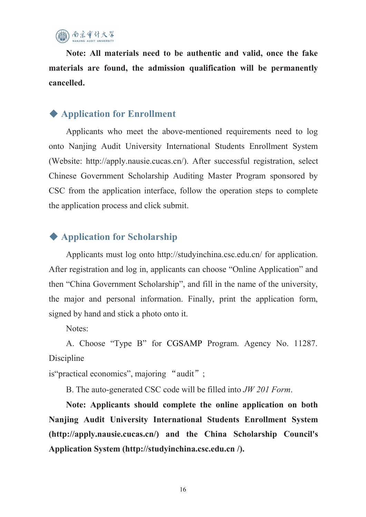

**Note: All materials need to be authentic and valid, once the fake materials are found, the admission qualification will be permanently cancelled.**

# ◆ **Application for Enrollment**

Applicants who meet the above-mentioned requirements need to log onto Nanjing Audit University International Students Enrollment System (Website: http://apply.nausie.cucas.cn/). After successful registration, select Chinese Government Scholarship Auditing Master Program sponsored by CSC from the application interface, follow the operation steps to complete the application process and click submit.

# ◆ **Application for Scholarship**

Applicants must log onto <http://studyinchina.csc.edu.cn>/ for application. After registration and log in, applicants can choose "Online Application" and then "China Government Scholarship", and fill in the name of the university, the major and personal information. Finally, print the application form, signed by hand and stick a photo onto it.

Notes:

A. Choose "Type B" for CGSAMP Program. Agency No. 11287. Discipline

is "practical economics", majoring "audit";

B. The auto-generated CSC code will be filled into *JW 201 Form*.

**Note: Applicants should complete the online application on both Nanjing Audit University International Students Enrollment System (http://apply.nausie.cucas.cn/) and the China Scholarship Council's Application System (http://studyinchina.csc.edu.cn /).**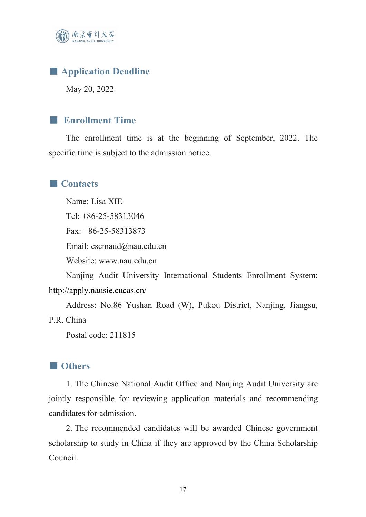

# ■ **Application Deadline**

May 20, 2022

#### ■ **Enrollment Time**

The enrollment time is at the beginning of September, 2022. The specific time is subject to the admission notice.

#### ■ **Contacts**

Name: Lisa XIE Tel: +86-25-58313046 Fax: +86-25-58313873 Email: [cscmaud@nau.edu.cn](mailto:cscmaud@nau.edu.cn) Website: [www.nau.edu.cn](http://www.nau.edu.cn)

Nanjing Audit University International Students Enrollment System: <http://apply.nausie.cucas.cn/>

Address: No.86 Yushan Road (W), Pukou District, Nanjing, Jiangsu, P.R. China

Postal code: 211815

#### ■ **Others**

1. The Chinese National Audit Office and Nanjing Audit University are jointly responsible for reviewing application materials and recommending candidates for admission.

2. The recommended candidates will be awarded Chinese government scholarship to study in China if they are approved by the China Scholarship Council.